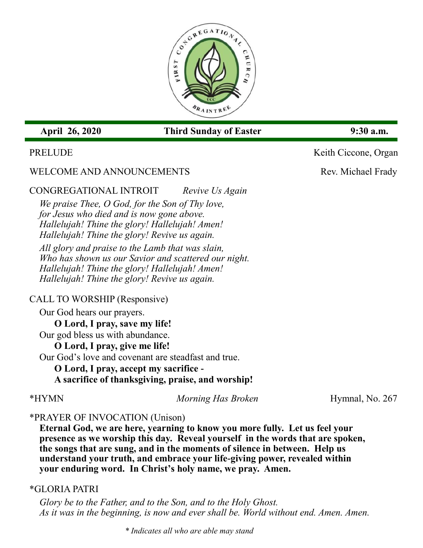

# **April 26, 2020 Third Sunday of Easter 9:30 a.m.**

## PRELUDE Keith Ciccone, Organ

# WELCOME AND ANNOUNCEMENTS Rev. Michael Frady

CONGREGATIONAL INTROIT *Revive Us Again*

*We praise Thee, O God, for the Son of Thy love, for Jesus who died and is now gone above. Hallelujah! Thine the glory! Hallelujah! Amen! Hallelujah! Thine the glory! Revive us again.*

*All glory and praise to the Lamb that was slain, Who has shown us our Savior and scattered our night. Hallelujah! Thine the glory! Hallelujah! Amen! Hallelujah! Thine the glory! Revive us again.*

## CALL TO WORSHIP (Responsive)

Our God hears our prayers.

**O Lord, I pray, save my life!** Our god bless us with abundance.

**O Lord, I pray, give me life!**

Our God's love and covenant are steadfast and true.

**O Lord, I pray, accept my sacrifice -**

**A sacrifice of thanksgiving, praise, and worship!**

\*HYMN *Morning Has Broken* Hymnal, No. 267

# \*PRAYER OF INVOCATION (Unison)

**Eternal God, we are here, yearning to know you more fully. Let us feel your presence as we worship this day. Reveal yourself in the words that are spoken, the songs that are sung, and in the moments of silence in between. Help us understand your truth, and embrace your life-giving power, revealed within your enduring word. In Christ's holy name, we pray. Amen.**

## \*GLORIA PATRI

*Glory be to the Father, and to the Son, and to the Holy Ghost. As it was in the beginning, is now and ever shall be. World without end. Amen. Amen.*

*\* Indicates all who are able may stand*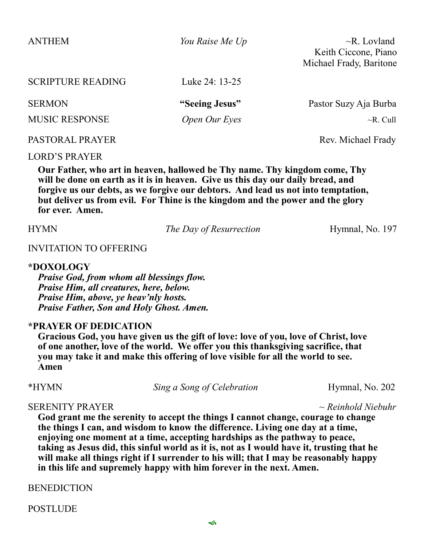| <b>ANTHEM</b>            | You Raise Me Up | $\neg R.$ Lovland       |
|--------------------------|-----------------|-------------------------|
|                          |                 | Keith Ciccone, Piano    |
|                          |                 | Michael Frady, Baritone |
| <b>SCRIPTURE READING</b> | Luke 24: 13-25  |                         |
| <b>SERMON</b>            | "Seeing Jesus"  | Pastor Suzy Aja Burba   |
| <b>MUSIC RESPONSE</b>    | Open Our Eyes   | $\neg R$ . Cull         |
| PASTORAL PRAYER          |                 | Rev. Michael Frady      |

#### LORD'S PRAYER

**Our Father, who art in heaven, hallowed be Thy name. Thy kingdom come, Thy will be done on earth as it is in heaven. Give us this day our daily bread, and forgive us our debts, as we forgive our debtors. And lead us not into temptation, but deliver us from evil. For Thine is the kingdom and the power and the glory for ever. Amen.**

HYMN *The Day of Resurrection* Hymnal, No. 197

### INVITATION TO OFFERING

### **\*DOXOLOGY**

*Praise God, from whom all blessings flow. Praise Him, all creatures, here, below. Praise Him, above, ye heav'nly hosts. Praise Father, Son and Holy Ghost. Amen.*

### **\*PRAYER OF DEDICATION**

**Gracious God, you have given us the gift of love: love of you, love of Christ, love of one another, love of the world. We offer you this thanksgiving sacrifice, that you may take it and make this offering of love visible for all the world to see. Amen**

\*HYMN *Sing a Song of Celebration* Hymnal, No. 202

#### SERENITY PRAYER *~ Reinhold Niebuhr*

**God grant me the serenity to accept the things I cannot change, courage to change the things I can, and wisdom to know the difference. Living one day at a time, enjoying one moment at a time, accepting hardships as the pathway to peace, taking as Jesus did, this sinful world as it is, not as I would have it, trusting that he will make all things right if I surrender to his will; that I may be reasonably happy in this life and supremely happy with him forever in the next. Amen.** 

**BENEDICTION** 

POSTLUDE